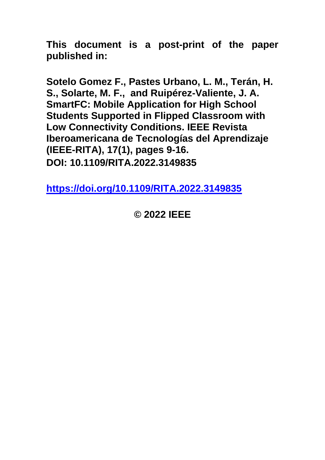**This document is a post-print of the paper published in:**

**Sotelo Gomez F., Pastes Urbano, L. M., Terán, H. S., Solarte, M. F., and Ruipérez-Valiente, J. A. SmartFC: Mobile Application for High School Students Supported in Flipped Classroom with Low Connectivity Conditions. IEEE Revista Iberoamericana de Tecnologías del Aprendizaje (IEEE-RITA), 17(1), pages 9-16. DOI: 10.1109/RITA.2022.3149835**

**<https://doi.org/10.1109/RITA.2022.3149835>**

# **© 2022 IEEE**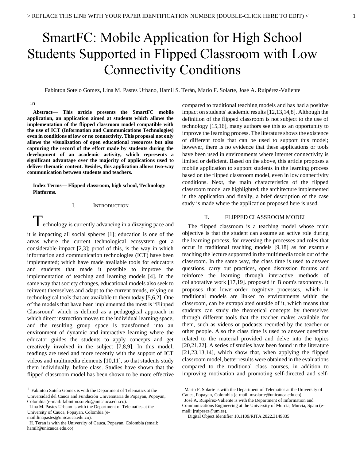# SmartFC: Mobile Application for High School Students Supported in Flipped Classroom with Low Connectivity Conditions

Fabinton Sotelo Gomez, Lina M. Pastes Urbano, Hamil S. Terán, Mario F. Solarte, José A. Ruipérez-Valiente

#### $1\square$

**Abstract— This article presents the SmartFC mobile application, an application aimed at students which allows the implementation of the flipped classroom model compatible with the use of ICT (Information and Communications Technologies) even in conditions of low or no connectivity. This proposal not only allows the visualization of open educational resources but also capturing the record of the effort made by students during the development of an academic activity, which represents a significant advantage over the majority of applications used to deliver thematic content. Besides, this application allows two-way communication between students and teachers.**

**Index Terms— Flipped classroom, high school, Technology Platforms.**

#### I. INTRODUCTION

**T**echnology is currently advancing in a dizzying pace and it is impacting all social spheres [1]; education is one of the areas where the current technological ecosystem got a considerable impact [2,3]; proof of this, is the way in which information and communication technologies (ICT) have been implemented; which have made available tools for educators and students that made it possible to improve the implementation of teaching and learning models [4]. In the same way that society changes, educational models also seek to reinvent themselves and adapt to the current trends, relying on technological tools that are available to them today [5,6,2]. One of the models that have been implemented the most is "Flipped Classroom" which is defined as a pedagogical approach in which direct instruction moves to the individual learning space, and the resulting group space is transformed into an environment of dynamic and interactive learning where the educator guides the students to apply concepts and get creatively involved in the subject [7,8,9]. In this model, readings are used and more recently with the support of ICT videos and multimedia elements [10,11], so that students study them individually, before class. Studies have shown that the flipped classroom model has been shown to be more effective

Universidad del Cauca and Fundación Universitaria de Popayan, Popayan, Colombia (e-mail: fabinton.sotelo@unicauca.edu.co).

compared to traditional teaching models and has had a positive impact on students' academic results [12,13,14,8]. Although the definition of the flipped classroom is not subject to the use of technology [15,16], many authors see this as an opportunity to improve the learning process. The literature shows the existence of different tools that can be used to support this model; however, there is no evidence that these applications or tools have been used in environments where internet connectivity is limited or deficient. Based on the above, this article proposes a mobile application to support students in the learning process based on the flipped classroom model, even in low connectivity conditions. Next, the main characteristics of the flipped classroom model are highlighted; the architecture implemented in the application and finally, a brief description of the case study is made where the application proposed here is used.

# II. FLIPPED CLASSROOM MODEL

The flipped classroom is a teaching model whose main objective is that the student can assume an active role during the learning process, for reversing the processes and roles that occur in traditional teaching models [9,18] as for example teaching the lecture supported in the multimedia tools out of the classroom. In the same way, the class time is used to answer questions, carry out practices, open discussion forums and reinforce the learning through interactive methods of collaborative work [17,19]. proposed in Bloom's taxonomy. It proposes that lower-order cognitive processes, which in traditional models are linked to environments within the classroom, can be extrapolated outside of it, which means that students can study the theoretical concepts by themselves through different tools that the teacher makes available for them, such as videos or podcasts recorded by the teacher or other people. Also the class time is used to answer questions related to the material provided and delve into the topics [20,21,22]. A series of studies have been found in the literature [21,23,13,14], which show that, when applying the flipped classroom model, better results were obtained in the evaluations compared to the traditional class courses, in addition to improving motivation and promoting self-directed and self-

Communications Engineering at the University of Murcia, Murcia, Spain (email: jruiperez@um.es).

Digital Object Identifier 10.1109/RITA.2022.3149835

<sup>&</sup>lt;sup>1</sup> Fabinton Sotelo Gomez is with the Department of Telematics at the

Lina M. Pastes Urbano is with the Department of Telematics at the University of Cauca, Popayan, Colombia (email:linapastes@unicauca.edu.co).

H. Teran is with the University of Cauca, Popayan, Colombia (email: hamil@unicauca.edu.co).

Mario F. Solarte is with the Department of Telematics at the University of Cauca, Popayan, Colombia (e-mail: msolarte@unicauca.edu.co).

José A. Ruipérez-Valiente is with the Department of Information and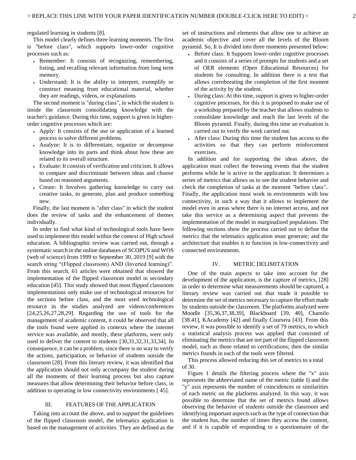regulated learning in students [8].

This model clearly defines three learning moments. The first is "before class", which supports lower-order cognitive processes such as:

- Remember: It consists of recognizing, remembering, listing, and recalling relevant information from long term memory.
- Understand: It is the ability to interpret, exemplify or construct meaning from educational material, whether they are readings, videos, or explanations

The second moment is "during class", in which the student is inside the classroom consolidating knowledge with the teacher's guidance. During this time, support is given in higherorder cognitive processes which are:

- Apply: It consists of the use or application of a learned process to solve different problems.
- Analyze: It is to differentiate, organize or decompose knowledge into its parts and think about how these are related to its overall structure.
- Evaluate: It consists of verification and criticism. It allows to compare and discriminate between ideas and choose based on reasoned arguments.
- Create: It Involves gathering knowledge to carry out creative tasks, to generate, plan and produce something new.

Finally, the last moment is "after class" in which the student does the review of tasks and the enhancement of themes individually.

In order to find what kind of technological tools have been used to implement this model within the context of High school education. A bibliographic review was carried out, through a systematic search in the online databases of SCOPUS and WOS (web of science) from 1999 to September 30, 2019 [9] with the search string "(Flipped classroom) AND (Inverted learning)". From this search, 61 articles were obtained that showed the implementation of the flipped classroom model in secondary education [45]. This study showed that most flipped classroom implementations only make use of technological resources for the sections before class, and the most used technological resource in the studies analyzed are videos/conferences [24,25,26,27,28,29]. Regarding the use of tools for the management of academic content, it could be observed that all the tools found were applied in contexts where the internet service was available, and mostly, these platforms, were only used to deliver the content to students [30,31,32,31,33,34]. In consequence, it can be a problem, since there is no way to verify the actions, participation, or behavior of students outside the classroom [28]. From this literary review, it was identified that the application should not only accompany the student during all the moments of their learning process but also capture measures that allow determining their behavior before class, in addition to operating in low connectivity environments [ 45].

#### III. FEATURES OF THE APPLICATION

Taking into account the above, and to support the guidelines of the flipped classroom model, the telematics application is based on the management of activities. They are defined as the

set of instructions and elements that allow one to achieve an academic objective and cover all the levels of the Bloom pyramid. So, It is divided into three moments presented below:

- Before class: It Supports lower-order cognitive processes and it consists of a series of prompts for students and a set of OER elements (Open Educational Resources) for students for consulting. In addition there is a test that allows corroborating the completion of the first moment of the activity by the student.
- During class: At this time, support is given to higher-order cognitive processes, for this it is proposed to make use of a workshop prepared by the teacher that allows students to consolidate knowledge and reach the last levels of the Bloom pyramid. Finally, during this time an evaluation is carried out to verify the work carried out.
- After class: During this time the student has access to the activities so that they can perform reinforcement exercises.

In addition and for supporting the ideas above, the application must collect the browsing events that the student performs while he is active in the application. It determines a series of metrics that allows us to see the student behavior and check the completion of tasks at the moment "before class".. Finally, the application must work in environments with low connectivity, in such a way that it allows to implement the model even in areas where there is no internet access, and not take this service as a determining aspect that prevents the implementation of the model in marginalized populations. The following sections show the process carried out to define the metrics that the telematics application must generate; and the architecture that enables it to function in low-connectivity and connected environments.

#### IV. METRIC DELIMITATION

One of the main aspects to take into account for the development of the application, is the capture of metrics, [28] in order to determine what measurements should be captured, a literary review was carried out that made it possible to determine the set of metrics necessary to capture the effort made by students outside the classroom. The platforms analyzed were Moodle [35,36,37,38,39], Blackboard [39, 40], Chamilo [38.41], KAcademy [42] and finally Coursera [43]. From this review, it was possible to identify a set of 79 metrics, to which a statistical analysis process was applied that consisted of eliminating the metrics that are not part of the flipped classroom model, such as those related to certifications; then the similar metrics founds in each of the tools were filtered.

This process allowed reducing this set of metrics to a total of 30.

Figure 1 details the filtering process where the "x" axis represents the abbreviated name of the metric (table I) and the "y" axis represents the number of coincidences or similarities of each metric on the platforms analyzed. In this way, it was possible to determine that the set of metrics found allows observing the behavior of students outside the classroom and identifying important aspects such as the type of connection that the student has, the number of times they access the content, and if it is capable of responding to a questionnaire of the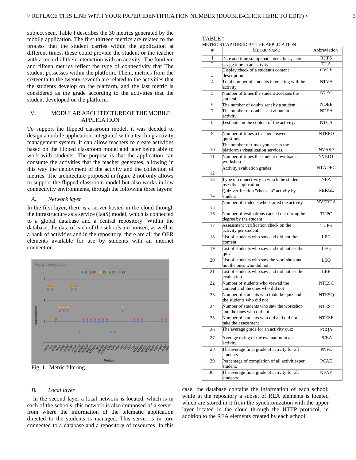TABLE I

METRICS CAPTURED BY THE APPLICATION

subject seen. Table I describes the 30 metrics generated by the mobile application. The first thirteen metrics are related to the process that the student carries within the application at different times. these could provide the student or the teacher with a record of their interaction with an activity. The fourteen and fifteen metrics reflect the type of connectivity that The student possesses within the platform. Them, metrics from the sixteenth to the twenty-seventh are related to the activities that the students develop on the platform, and the last metric is considered as the grade according to the activities that the student developed on the platform.

# V. MODULAR ARCHITECTURE OF THE MOBILE APPLICATION

To support the flipped classroom model, it was decided to design a mobile application, integrated with a teaching activity management system. It can allow teachers to create activities based on the flipped classroom model and later being able to work with students. The purpose is that the application can consume the activities that the teacher generates, allowing in this way the deployment of the activity and the collection of metrics. The architecture proposed in figure 2 not only allows to support the flipped classroom model but also works in low connectivity environments, through the following three layers:

# *A. Network layer*

In the first layer, there is a server hosted in the cloud through the infrastructure as a service (IaaS) model, which is connected to a global database and a central repository. Within the database, the data of each of the schools are housed, as well as a bank of activities and in the repository, there are all the OER elements available for use by students with an internet connection.



Fig. 1. Metric filtering.

#### *B. Local layer*

In the second layer a local network is located, which is in each of the schools, this network is also composed of a server, from where the information of the telematic application directed to the students is managed. This server is in turn connected to a database and a repository of resources. In this

| #              | <b>METRIC NAME</b>                                                       | Abbreviation  |
|----------------|--------------------------------------------------------------------------|---------------|
| 1              | Date and time stamp that enters the system                               | <b>RHFS</b>   |
| $\overline{c}$ | Usage time in an activity                                                | <b>TUA</b>    |
| 3              | Display check of a student's content<br>description                      | <b>CVCE</b>   |
| $\overline{4}$ | Total number of students interacting withthe<br>activity                 | NTVA          |
| 5              | Number of times the student accesses the<br>content                      | <b>NTEC</b>   |
| 6              | The number of doubts sent by a student.                                  | <b>NDEE</b>   |
| 7              | The number of doubts sent about an<br>activity.                          | <b>NDEA</b>   |
| 8              | Test note on the content of the activity.                                | <b>NTCA</b>   |
| 9              | Number of times a teacher answers<br>questions                           | <b>NTRPD</b>  |
| 10             | The number of times you access the<br>platform's visualization services. | NVASP         |
| 11             | Number of times the student downloads a<br>workshop                      | <b>NVEDT</b>  |
| 12             | Activity evaluation grades                                               | <b>NTADEC</b> |
| 13             | Type of connectivity in which the student<br>uses the application        | <b>NEA</b>    |
| 14             | Quiz verification "check-in" activity by<br>student                      | <b>NERGE</b>  |
| 15             | Number of students who started the activity                              | <b>NVERDA</b> |
| 16             | Number of evaluations carried out duringthe<br>degree by the student     | <b>TUPC</b>   |
| 17             | Assessment verification check on the<br>activity per student.            | <b>TUPS</b>   |
| 18             | List of students who saw and did not the<br>content                      | <b>LEC</b>    |
| 19             | List of students who saw and did not seethe<br>quiz                      | LEQ           |
| 20             | List of students who saw the workshop and<br>not the ones who did not.   | LEQ           |
| 21             | List of students who saw and did not seethe<br>evaluation                | LEE           |
| 22             | Number of students who viewed the<br>content and the ones who did not    | <b>NTESC</b>  |
| 23             | Number of students who took the quiz and<br>the students who did not     | NTESQ         |
| 24             | Number of students who saw the workshop<br>and the ones who did not      | <b>NTEST</b>  |
| 25             | Number of students who did and did not<br>take the assessment            | NTESE         |
| 26             | The average grade for an activity quiz                                   | <b>PCQA</b>   |
| 27             | Average rating of the evaluation in an<br>activity                       | <b>PCEA</b>   |
| 28             | The average final grade of activity for all<br>students                  | <b>PNFE</b>   |
| 29             | Percentage of completion of all activitiesper<br>student.                | <b>PCAE</b>   |
| 30             | The average final grade of activity for all<br>students                  | <b>NFAE</b>   |

case, the database contains the information of each school; while in the repository a subset of REA elements is located which are stored in it from the synchronization with the upper layer located in the cloud through the HTTP protocol, in addition to the REA elements created by each school.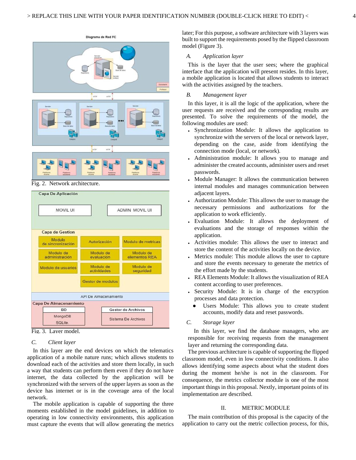interface that the application will present resides. In this layer, a mobile application is located that allows students to interact with the activities assigned by the teachers.

# *B. Management layer*

In this layer, it is all the logic of the application, where the user requests are received and the corresponding results are presented. To solve the requirements of the model, the following modules are used:

- Synchronization Module: It allows the application to synchronize with the servers of the local or network layer, depending on the case, aside from identifying the connection mode (local, or network).
- Administration module: It allows you to manage and administer the created accounts, administer users and reset passwords.
- Module Manager: It allows the communication between internal modules and manages communication between adjacent layers.
- Authorization Module: This allows the user to manage the necessary permissions and authorizations for the application to work efficiently.
- Evaluation Module: It allows the deployment of evaluations and the storage of responses within the application.
- Activities module: This allows the user to interact and store the content of the activities locally on the device.
- Metrics module: This module allows the user to capture and store the events necessary to generate the metrics of the effort made by the students.
- REA Elements Module: It allows the visualization of REA content according to user preferences.
- Security Module: It is in charge of the encryption processes and data protection.
	- Users Module: This allows you to create student accounts, modify data and reset passwords.

#### *C. Storage layer*

In this layer, we find the database managers, who are responsible for receiving requests from the management layer and returning the corresponding data.

The previous architecture is capable of supporting the flipped classroom model, even in low connectivity conditions. It also allows identifying some aspects about what the student does during the moment he/she is not in the classroom. For consequence, the metrics collector module is one of the most important things in this proposal. Nextly, important points of its implementation are described.

#### II. METRIC MODULE

The main contribution of this proposal is the capacity of the application to carry out the metric collection process, for this,





Diagrama de Red FC

Fig. 3. Layer model.

# *C. Client layer*

In this layer are the end devices on which the telematics application of a mobile nature runs; which allows students to download each of the activities and store them locally, in such a way that students can perform them even if they do not have internet, the data collected by the application will be synchronized with the servers of the upper layers as soon as the device has internet or is in the coverage area of the local network.

The mobile application is capable of supporting the three moments established in the model guidelines, in addition to operating in low connectivity environments, this application must capture the events that will allow generating the metrics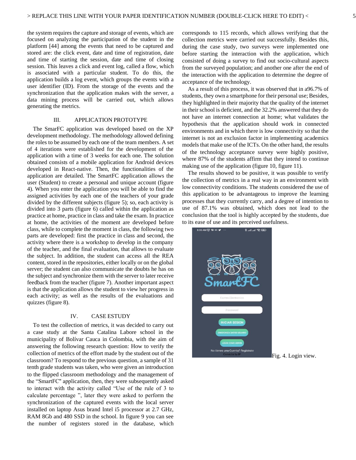the system requires the capture and storage of events, which are focused on analyzing the participation of the student in the platform [44] among the events that need to be captured and stored are: the click event, date and time of registration, date and time of starting the session, date and time of closing session. This leaves a click and event log, called a flow, which is associated with a particular student. To do this, the application builds a log event, which groups the events with a user identifier (ID). From the storage of the events and the synchronization that the application makes with the server, a data mining process will be carried out, which allows generating the metrics.

#### III. APPLICATION PROTOTYPE

The SmarFC application was developed based on the XP development methodology. The methodology allowed defining the roles to be assumed by each one of the team members. A set of 4 iterations were established for the development of the application with a time of 3 weeks for each one. The solution obtained consists of a mobile application for Android devices developed in React-native. Then, the functionalities of the application are detailed. The SmartFC application allows the user (Student) to create a personal and unique account (figure 4). When you enter the application you will be able to find the assigned activities by each one of the teachers of your grade divided by the different subjects (figure 5); so, each activity is divided into 3 parts (figure 6) called within the application as practice at home, practice in class and take the exam. In practice at home, the activities of the moment are developed before class, while to complete the moment in class, the following two parts are developed: first the practice in class and second, the activity where there is a workshop to develop in the company of the teacher, and the final evaluation, that allows to evaluate the subject. In addition, the student can access all the REA content, stored in the repositories, either locally or on the global server; the student can also communicate the doubts he has on the subject and synchronize them with the server to later receive feedback from the teacher (figure 7). Another important aspect is that the application allows the student to view her progress in each activity; as well as the results of the evaluations and quizzes (figure 8).

#### IV. CASE ESTUDY

To test the collection of metrics, it was decided to carry out a case study at the Santa Catalina Labore school in the municipality of Bolívar Cauca in Colombia, with the aim of answering the following research question: How to verify the collection of metrics of the effort made by the student out of the classroom? To respond to the previous question, a sample of 31 tenth grade students was taken, who were given an introduction to the flipped classroom methodology and the management of the "SmartFC'' application, then, they were subsequently asked to interact with the activity called "Use of the rule of 3 to calculate percentage ", later they were asked to perform the synchronization of the captured events with the local server installed on laptop Asus brand Intel i5 processor at 2.7 GHz, RAM 8Gb and 480 SSD in the school. In figure 9 you can see the number of registers stored in the database, which corresponds to 115 records, which allows verifying that the collection metrics were carried out successfully. Besides this, during the case study, two surveys were implemented one before starting the interaction with the application, which consisted of doing a survey to find out socio-cultural aspects from the surveyed population; and another one after the end of the interaction with the application to determine the degree of acceptance of the technology.

As a result of this process, it was observed that in a96.7% of students, they own a smartphone for their personal use; Besides, they highlighted in their majority that the quality of the internet in their school is deficient, and the 32.2% answered that they do not have an internet connection at home; what validates the hypothesis that the application should work in connected environments and in which there is low connectivity so that the internet is not an exclusion factor in implementing academics models that make use of the ICTs. On the other hand, the results of the technology acceptance survey were highly positive, where 87% of the students affirm that they intend to continue making use of the application (figure 10, figure 11).

The results showed to be positive, it was possible to verify the collection of metrics in a real way in an environment with low connectivity conditions. The students considered the use of this application to be advantageous to improve the learning processes that they currently carry, and a degree of intention to use of 87.1% was obtained, which does not lead to the conclusion that the tool is highly accepted by the students, due to its ease of use and its perceived usefulness.



Fig. 4. Login view.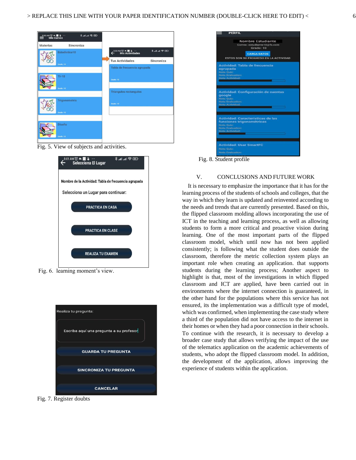

Fig. 5. View of subjects and activities.



Fig. 6. learning moment's view.



Fig. 7. Register doubts



Fig. 8. Student profile

# V. CONCLUSIONS AND FUTURE WORK

It is necessary to emphasize the importance that it has for the learning process of the students of schools and colleges, that the way in which they learn is updated and reinvented according to the needs and trends that are currently presented. Based on this, the flipped classroom molding allows incorporating the use of ICT in the teaching and learning process, as well as allowing students to form a more critical and proactive vision during learning. One of the most important parts of the flipped classroom model, which until now has not been applied consistently; is following what the student does outside the classroom, therefore the metric collection system plays an important role when creating an application. that supports students during the learning process; Another aspect to highlight is that, most of the investigations in which flipped classroom and ICT are applied, have been carried out in environments where the internet connection is guaranteed, in the other hand for the populations where this service has not ensured, its the implementation was a difficult type of model, which was confirmed, when implementing the case study where a third of the population did not have access to the internet in their homes or when they had a poor connection in their schools. To continue with the research, it is necessary to develop a broader case study that allows verifying the impact of the use of the telematics application on the academic achievements of students, who adopt the flipped classroom model. In addition, the development of the application, allows improving the experience of students within the application.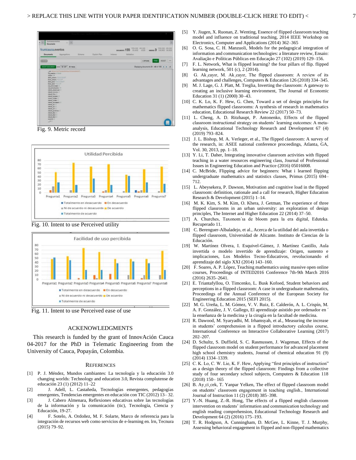

Fig. 9. Metric record



Fig. 10. Intent to use Perceived utility



Fig. 11. Intent to use Perceived ease of use

#### ACKENOWLEDGMENTS

This research is funded by the grant of InnovAción Cauca 04-2017 for the PhD in Telematic Engineering from the University of Cauca, Popayán, Colombia.

#### **REFERENCES**

- [1] P. J. Méndez, Mundos cambiantes: La tecnología y la educación 3.0 changing worlds: Technology and education 3.0, Revista complutense de educación 23 (1) (2012) 11–22
- [2] J. Adell, L. Castañeda, Tecnologías emergentes, pedagogías emergentes, Tendencias emergentes en educación con TIC (2012) 13– 32.
- [3] J. Cabero Almenara, Reflexiones educativas sobre las tecnologías de la información y la comunicación (tic), Tecnología, Ciencia y Educación, 19-27.
- [4] F. Sotelo, A. Ordoñez, M. F. Solarte, Marco de referencia para la integración de recursos web como servicios de e-learning en. lrn, Tecnura (2015) 79–92.
- [5] Y. Jiugen, X. Ruonan, Z. Wenting, Essence of flipped classroom teaching model and influence on traditional teaching, 2014 IEEE Workshop on Electronics, Computer and Applications (2014) 362–365
- [6] O. G. Sosa, C. H. Manzuoli, Models for the pedagogical integration of information and communication technologies: a literature review, Ensaio: Avaliação e Políticas Públicas em Educação 27 (102) (2019) 129–156.
- [7] F. L. Network, What is flipped learning? the four pillars of flip. flipped learning network, 501 (c), 2 (2014).
- [8] G. Ak¸cayır, M. Ak¸cayır, The flipped classroom: A review of its advantages and challenges, Computers & Education 126 (2018) 334–345.
- [9] M. J. Lage, G. J. Platt, M. Treglia, Inverting the classroom: A gateway to creating an inclusive learning environment, The Journal of Economic Education 31 (1) (2000) 30–43.
- [10] C. K. Lo, K. F. Hew, G. Chen, Toward a set of design principles for mathematics flipped classrooms: A synthesis of research in mathematics education, Educational Research Review 22 (2017) 50–73.
- [11] L. Cheng, A. D. Ritzhaupt, P. Antonenko, Effects of the flipped classroom instructional strategy on students' learning outcomes: A metaanalysis, Educational Technology Research and Development 67 (4) (2019) 793–824.
- [12] J. L. Bishop, M. A. Verleger, et al., The flipped classroom: A survey of the research, in: ASEE national conference proceedings, Atlanta, GA, Vol. 30, 2013, pp. 1–18.
- [13] Y. Li, T. Daher, Integrating innovative classroom activities with flipped teaching in a water resources engineering class, Journal of Professional Issues in Engineering Education and Practice (2016) 05016008.
- [14] C. McBride, Flipping advice for beginners: What i learned flipping undergraduate mathematics and statistics classes, Primus (2015) 694– 712.
- [15] L. Abeysekera, P. Dawson, Motivation and cognitive load in the flipped classroom: definition, rationale and a call for research, Higher Education Research & Development (2015) 1–14.
- [16] M. K. Kim, S. M. Kim, O. Khera, J. Getman, The experience of three flipped classrooms in an urban university: an exploration of design principles, The Internet and Higher Education 22 (2014) 37–50.
- [17] A. Churches, Taxonom´ıa de bloom para la era digital, Eduteka. Recuperado 11.
- [18] C. Berenguer-Albaladejo, et al., Acerca de la utilidad del aula invertida o flipped classroom, Universidad de Alicante. Instituto de Ciencias de la Educación.
- [19] W. Martínez Olvera, I. Esquivel-Gámez, J. Martínez Castillo, Aula invertida o modelo invertido de aprendizaje: Origen, sustento e implicaciones, Los Modelos Tecno-Educativos, revolucionando el aprendizaje del siglo XXI (2014) 143–160.
- [20] F. Soares, A. P. López, Teaching mathematics using massive open online courses, Proceedings of INTED2016 Conference 7th-9th March 2016 (2016) 2635–2641.
- [21] E. Triantafyllou, O. Timcenko, L. Busk Kofoed, Student behaviors and perceptions in a flipped classroom: A case in undergraduate mathematics, Proceedings of the Annual Conference of the European Society for Engineering Education 2015 (SEFI 2015).
- [22] M. G. Ureña, L. M. Gómez, V. V. Ruiz, E. Calderón, A. L. Crispín, M. A. F. González, J. V. Gallego, El aprendizaje asistido por ordenador en ´ la enseñanza de la medicina y la cirugía en la facultad de medicina.
- [23] R. Dawood, M. Syaryadhi, M. Irhamsyah, et al., Measuring the increase in students' comprehension in a flipped introductory calculus course, International Conference on Interactive Collaborative Learning (2017) 202–207.
- [24] D. Schultz, S. Duffield, S. C. Rasmussen, J. Wageman, Effects of the flipped classroom model on student performance for advanced placement high school chemistry students, Journal of chemical education 91 (9) (2014) 1334–1339.
- [25] C. K. Lo, C. W. Lie, K. F. Hew, Applying "first principles of instruction" as a design theory of the flipped classroom: Findings from a collective study of four secondary school subjects, Computers & Education 118 (2018) 150– 165
- [26] B. Ay ci cek, T. Yanpar Yelken, The effect of flipped classroom model on students' classroom engagement in teaching english., International Journal of Instruction 11 (2) (2018) 385–398.
- [27] Y.-N. Huang, Z.-R. Hong, The effects of a flipped english classroom intervention on students' information and communication technology and english reading comprehension, Educational Technology Research and Development 64 (2) (2016) 175–193.
- [28] T. R. Hodgson, A. Cunningham, D. McGee, L. Kinne, T. J. Murphy, Assessing behavioral engagement in flipped and non-flipped mathematics